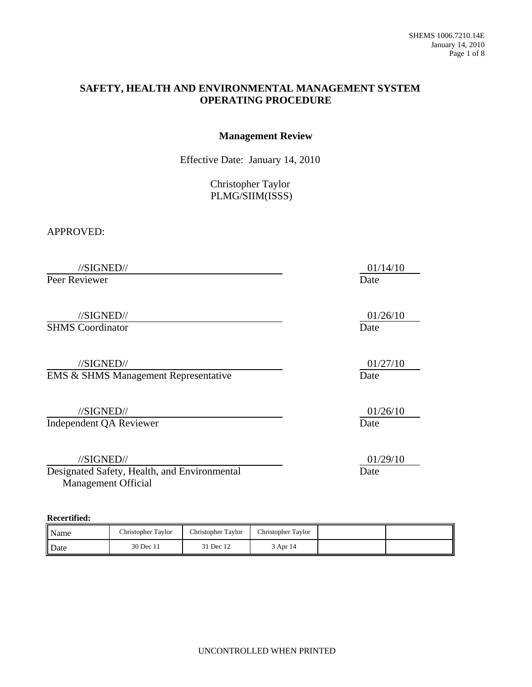### **SAFETY, HEALTH AND ENVIRONMENTAL MANAGEMENT SYSTEM OPERATING PROCEDURE**

#### **Management Review**

Effective Date: January 14, 2010

Christopher Taylor PLMG/SIIM(ISSS)

APPROVED:

//SIGNED// 01/14/10

Peer Reviewer Date

//SIGNED// 01/26/10

**SHMS** Coordinator Date

//SIGNED// 01/27/10 **EMS & SHMS Management Representative Date** 

 //SIGNED// 01/26/10 Independent QA Reviewer Date

//SIGNED// 01/29/10

Designated Safety, Health, and Environmental Date Management Official

**Recertified:**

| Name | Christopher Taylor | Christopher Taylor | Christopher Taylor |  |
|------|--------------------|--------------------|--------------------|--|
| Date | 30 Dec 11          | 31 Dec 12          | 3 Apr 14           |  |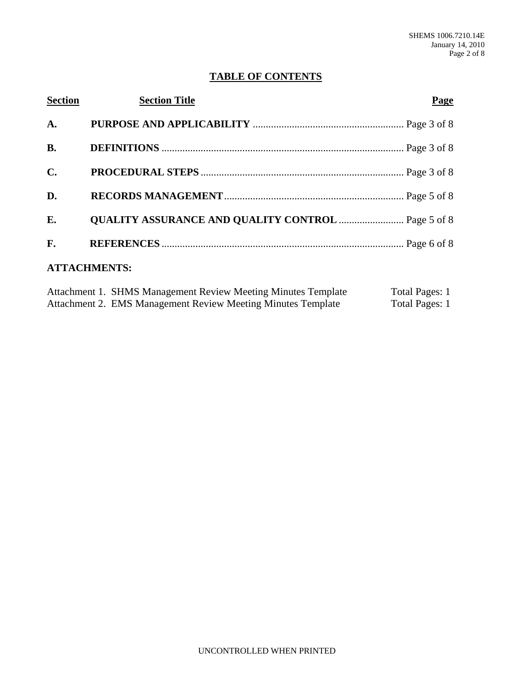### **TABLE OF CONTENTS**

| <b>Section</b>      | <b>Section Title</b> | <b>Page</b> |
|---------------------|----------------------|-------------|
| A.                  |                      |             |
| <b>B.</b>           |                      |             |
| $\mathbf{C}$ .      |                      |             |
| D.                  |                      |             |
| E.                  |                      |             |
| F.                  |                      |             |
| <b>ATTACHMENTS:</b> |                      |             |

| Attachment 1. SHMS Management Review Meeting Minutes Template | Total Pages: 1 |
|---------------------------------------------------------------|----------------|
| Attachment 2. EMS Management Review Meeting Minutes Template  | Total Pages: 1 |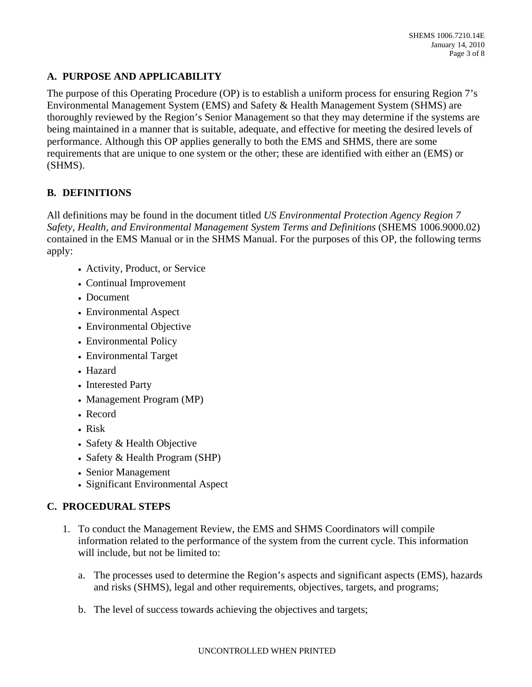## **A. PURPOSE AND APPLICABILITY**

The purpose of this Operating Procedure (OP) is to establish a uniform process for ensuring Region 7's Environmental Management System (EMS) and Safety & Health Management System (SHMS) are thoroughly reviewed by the Region's Senior Management so that they may determine if the systems are being maintained in a manner that is suitable, adequate, and effective for meeting the desired levels of performance. Although this OP applies generally to both the EMS and SHMS, there are some requirements that are unique to one system or the other; these are identified with either an (EMS) or (SHMS).

## **B. DEFINITIONS**

All definitions may be found in the document titled *US Environmental Protection Agency Region 7 Safety, Health, and Environmental Management System Terms and Definitions* (SHEMS 1006.9000.02) contained in the EMS Manual or in the SHMS Manual. For the purposes of this OP, the following terms apply:

- Activity, Product, or Service
- Continual Improvement
- Document
- Environmental Aspect
- Environmental Objective
- Environmental Policy
- Environmental Target
- Hazard
- Interested Party
- Management Program (MP)
- Record
- Risk
- Safety & Health Objective
- Safety & Health Program (SHP)
- Senior Management
- Significant Environmental Aspect

# **C. PROCEDURAL STEPS**

- 1. To conduct the Management Review, the EMS and SHMS Coordinators will compile information related to the performance of the system from the current cycle. This information will include, but not be limited to:
	- a. The processes used to determine the Region's aspects and significant aspects (EMS), hazards and risks (SHMS), legal and other requirements, objectives, targets, and programs;
	- b. The level of success towards achieving the objectives and targets;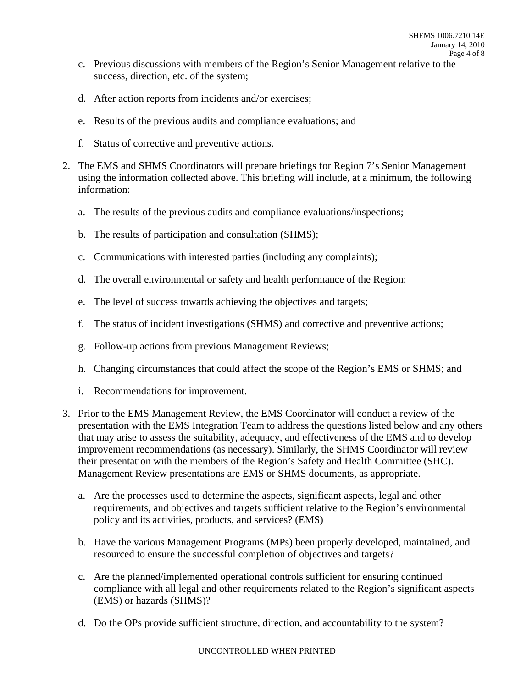- c. Previous discussions with members of the Region's Senior Management relative to the success, direction, etc. of the system;
- d. After action reports from incidents and/or exercises;
- e. Results of the previous audits and compliance evaluations; and
- f. Status of corrective and preventive actions.
- 2. The EMS and SHMS Coordinators will prepare briefings for Region 7's Senior Management using the information collected above. This briefing will include, at a minimum, the following information:
	- a. The results of the previous audits and compliance evaluations/inspections;
	- b. The results of participation and consultation (SHMS);
	- c. Communications with interested parties (including any complaints);
	- d. The overall environmental or safety and health performance of the Region;
	- e. The level of success towards achieving the objectives and targets;
	- f. The status of incident investigations (SHMS) and corrective and preventive actions;
	- g. Follow-up actions from previous Management Reviews;
	- h. Changing circumstances that could affect the scope of the Region's EMS or SHMS; and
	- i. Recommendations for improvement.
- 3. Prior to the EMS Management Review, the EMS Coordinator will conduct a review of the presentation with the EMS Integration Team to address the questions listed below and any others that may arise to assess the suitability, adequacy, and effectiveness of the EMS and to develop improvement recommendations (as necessary). Similarly, the SHMS Coordinator will review their presentation with the members of the Region's Safety and Health Committee (SHC). Management Review presentations are EMS or SHMS documents, as appropriate.
	- a. Are the processes used to determine the aspects, significant aspects, legal and other requirements, and objectives and targets sufficient relative to the Region's environmental policy and its activities, products, and services? (EMS)
	- b. Have the various Management Programs (MPs) been properly developed, maintained, and resourced to ensure the successful completion of objectives and targets?
	- c. Are the planned/implemented operational controls sufficient for ensuring continued compliance with all legal and other requirements related to the Region's significant aspects (EMS) or hazards (SHMS)?
	- d. Do the OPs provide sufficient structure, direction, and accountability to the system?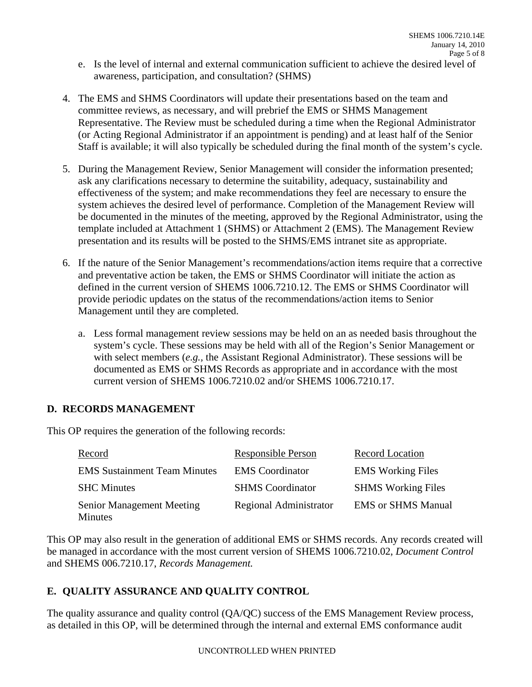- e. Is the level of internal and external communication sufficient to achieve the desired level of awareness, participation, and consultation? (SHMS)
- 4. The EMS and SHMS Coordinators will update their presentations based on the team and committee reviews, as necessary, and will prebrief the EMS or SHMS Management Representative. The Review must be scheduled during a time when the Regional Administrator (or Acting Regional Administrator if an appointment is pending) and at least half of the Senior Staff is available; it will also typically be scheduled during the final month of the system's cycle.
- 5. During the Management Review, Senior Management will consider the information presented; ask any clarifications necessary to determine the suitability, adequacy, sustainability and effectiveness of the system; and make recommendations they feel are necessary to ensure the system achieves the desired level of performance. Completion of the Management Review will be documented in the minutes of the meeting, approved by the Regional Administrator, using the template included at Attachment 1 (SHMS) or Attachment 2 (EMS). The Management Review presentation and its results will be posted to the SHMS/EMS intranet site as appropriate.
- 6. If the nature of the Senior Management's recommendations/action items require that a corrective and preventative action be taken, the EMS or SHMS Coordinator will initiate the action as defined in the current version of SHEMS 1006.7210.12. The EMS or SHMS Coordinator will provide periodic updates on the status of the recommendations/action items to Senior Management until they are completed.
	- a. Less formal management review sessions may be held on an as needed basis throughout the system's cycle. These sessions may be held with all of the Region's Senior Management or with select members (*e.g.,* the Assistant Regional Administrator). These sessions will be documented as EMS or SHMS Records as appropriate and in accordance with the most current version of SHEMS 1006.7210.02 and/or SHEMS 1006.7210.17.

### **D. RECORDS MANAGEMENT**

This OP requires the generation of the following records:

| Record                                             | <b>Responsible Person</b> | <b>Record Location</b>           |
|----------------------------------------------------|---------------------------|----------------------------------|
| <b>EMS</b> Sustainment Team Minutes                | <b>EMS</b> Coordinator    | <b>EMS</b> Working Files         |
| <b>SHC</b> Minutes                                 | <b>SHMS</b> Coordinator   | <b>SHMS</b> Working Files        |
| <b>Senior Management Meeting</b><br><b>Minutes</b> | Regional Administrator    | <b>EMS</b> or <b>SHMS</b> Manual |

This OP may also result in the generation of additional EMS or SHMS records. Any records created will be managed in accordance with the most current version of SHEMS 1006.7210.02, *Document Control* and SHEMS 006.7210.17, *Records Management.*

# **E. QUALITY ASSURANCE AND QUALITY CONTROL**

The quality assurance and quality control (QA/QC) success of the EMS Management Review process, as detailed in this OP, will be determined through the internal and external EMS conformance audit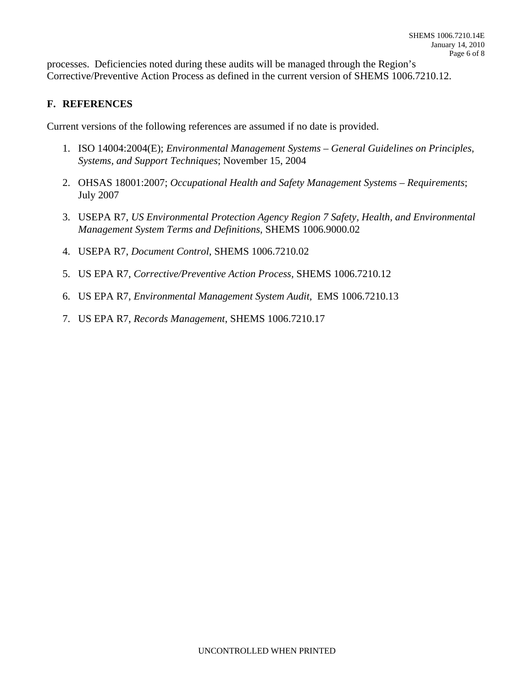processes. Deficiencies noted during these audits will be managed through the Region's Corrective/Preventive Action Process as defined in the current version of SHEMS 1006.7210.12.

### **F. REFERENCES**

Current versions of the following references are assumed if no date is provided.

- 1. ISO 14004:2004(E); *Environmental Management Systems General Guidelines on Principles, Systems, and Support Techniques*; November 15, 2004
- 2. OHSAS 18001:2007; *Occupational Health and Safety Management Systems Requirements*; July 2007
- 3. USEPA R7, *US Environmental Protection Agency Region 7 Safety, Health, and Environmental Management System Terms and Definitions*, SHEMS 1006.9000.02
- 4. USEPA R7, *Document Control*, SHEMS 1006.7210.02
- 5. US EPA R7, *Corrective/Preventive Action Process,* SHEMS 1006.7210.12
- 6. US EPA R7, *Environmental Management System Audit,* EMS 1006.7210.13
- 7. US EPA R7, *Records Management*, SHEMS 1006.7210.17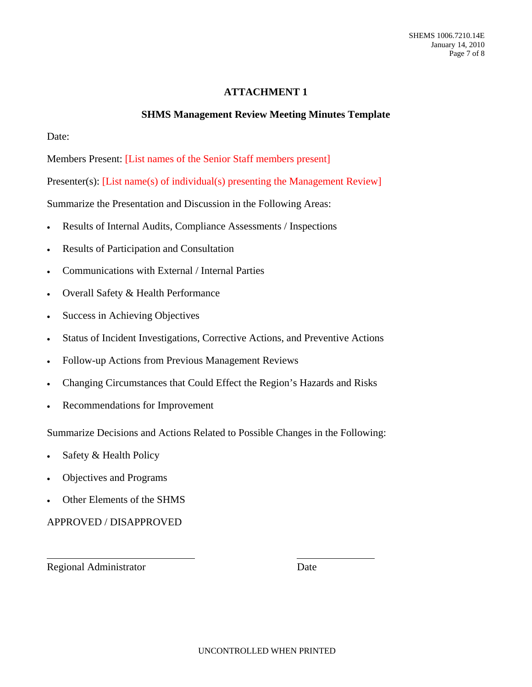### **ATTACHMENT 1**

### **SHMS Management Review Meeting Minutes Template**

Date:

Members Present: [List names of the Senior Staff members present]

Presenter(s): [List name(s) of individual(s) presenting the Management Review]

Summarize the Presentation and Discussion in the Following Areas:

- Results of Internal Audits, Compliance Assessments / Inspections
- Results of Participation and Consultation
- Communications with External / Internal Parties
- Overall Safety & Health Performance
- Success in Achieving Objectives
- Status of Incident Investigations, Corrective Actions, and Preventive Actions
- Follow-up Actions from Previous Management Reviews
- Changing Circumstances that Could Effect the Region's Hazards and Risks
- Recommendations for Improvement

Summarize Decisions and Actions Related to Possible Changes in the Following:

- Safety & Health Policy
- Objectives and Programs
- Other Elements of the SHMS

APPROVED / DISAPPROVED

Regional Administrator Date